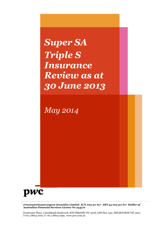

*May 2014*



*PricewaterhouseCoopers Securities Limited ACN 003 311 617 ABN 54 003 311 617 Holder of Australian Financial Services Licence No 244572*

Freshwater Place, 2 Southbank Boulevard, SOUTHBANK VIC 3006, GPO Box 1331, MELBOURNE VIC 3001 T+61 3 8603 1000, F +61 3 8603 1999, www.pwc.com.au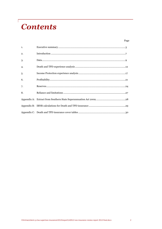# **Contents**

 $\sqrt{2}$ 

#### Page

| 1. |  |
|----|--|
| 2. |  |
| 3. |  |
| 4. |  |
| 5. |  |
| 6. |  |
| 7. |  |
| 8. |  |
|    |  |
|    |  |
|    |  |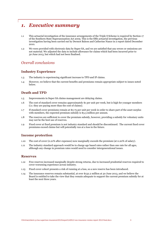# *1. Executive summary*

- 1.1 This actuarial investigation of the insurance arrangements of the Triple S Scheme is required by Section 17 of the Southern State Superannuation Act 2009. This is the fifth actuarial investigation, the previous investigation having been carried out by Dermot Balson and Catherine Nance in a report dated December 2010.
- 1.2 We were provided with electronic data by Super SA, and we are satisfied that any errors or omissions are not material. We adjusted the data to include allowance for claims which had been incurred prior to 30 June 2013, but which had not been finalised.

### *Overall conclusions*

#### **Industry Experience**

- 1.3 The industry is experiencing significant increase to TPD and IP claims.
- 1.4 However, we believe that the current benefits and premiums remain appropriate subject to issues noted below.

#### **Death and TPD**

- 1.5 Improvements in Super SA claims management are delaying claims.
- 1.6 The cost of standard cover remains approximately \$1 per unit per week, but is high for younger members (i.e. they are paying more than the cost of claims).
- 1.7 If standard cover premiums remain at \$0.75 per unit per week in order to share part of the asset surplus with members, the expected premium subsidy is \$3.3 million per annum.
- 1.8 The reserves are sufficient to cover the premium subsidy, however, providing a subsidy for voluntary units may not be the best use of reserves.
- 1.9 Fixed cover at fixed premium is not industry standard and should be discontinued. The current fixed cover premiums exceed claims but will potentially run at a loss in the future.

#### **Income protection**

- 1.10 The cost of cover (0.21% after expenses) now marginally exceeds the premium (at 0.20% of salary).
- 1.11 The industry standard approach would be to charge age based rates rather than one rate for all ages, although any change in premium rates would need to consider intergenerational issues.

#### **Reserves**

- 1.12 Free reserves increased marginally despite strong returns, due to increased prudential reserves required to cover worsening experience across industry.
- 1.13 Fixed cover cohort presents a risk of running at a loss, so a new reserve has been introduced.
- 1.14 The insurance reserves remain substantial, at over \$132.2 million at 30 June 2013, and we believe the Board is entitled to take the view that they remain adequate to support the current premium subsidy for at least the next three years.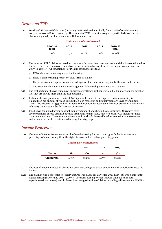### *Death and TPD*

1.15 Death and TPD actual claim cost (including IBNR) reduced marginally from 0.11% of sum insured for 2007-2010 to 0.10% for 2010-2013. The amount of TPD claims for 2013 were particularly low due to claims being made by older members with lower sum insured.

| Claims as % of sum insured |       |          |          |                  |  |  |
|----------------------------|-------|----------|----------|------------------|--|--|
| 2007-10<br>total           | 2011  | 2012     | 2013     | 2010-13<br>total |  |  |
| $0.11\%$                   | 0.07% | $0.11\%$ | $0.11\%$ | $0.10\%$         |  |  |

- 1.16 The number of TPD claims incurred in 2011 was 20% lower than 2010 and 2012 and this has contributed to the decrease in the claim cost. Indicative industry claim rates are closer to the Super SA experience for 2007-10 at 0.11%. Observations of TPD claim experience are that:
	- a. TPD claims are increasing across the industry
	- b. There is an increasing presence of legal firms in claims
	- c. The previous claim experience may reflect apathy of members and may not be the case in the future
	- d. Improvements in Super SA claims management is increasing delay patterns of claims.
- 1.17 The cost of standard cover remains at approximately \$1 per unit per week, but is high for younger member (i.e. they are paying more than the cost of claims).
- 1.18 If standard cover premiums remain at \$0.75 per unit per week, the expected premium subsidy is \$3.3 million per annum, of which \$0.6 million is in respect of additional voluntary cover over 2 units. Given "free reserves" of \$34 million, a subsidised premium is sustainable, however providing a subsidy for voluntary units may not be the best use of reserves.
- 1.19 Fixed cover for a fixed premium is not industry standard and should be discontinued. Currently, fixed cover premiums exceed claims, but while premiums remain fixed, expected claims will increase as fixed cover members' age. Therefore, the excess premium should be considered as a contribution to reserves and so a reserve has been introduced in 2013 for this group.

### *Income Protection*

1.20 The level of Income Protection claims has been increasing for 2010 to 2013, with the claim rate as a percentage of members significantly higher in 2012 and 2013 than preceding years.

|                   | Claims as % of members |       |       |       |  |  |
|-------------------|------------------------|-------|-------|-------|--|--|
|                   | 2010                   | 2011  | 2012  | 2013  |  |  |
| <b>Claims</b>     | 184                    | 260   | 377   | 385   |  |  |
| <b>Claim rate</b> | 0.35%                  | 0.33% | 0.47% | 0.46% |  |  |

- 1.21 The cost of Income Protection claims has been increasing and this is consistent with experience across the industry.
- 1.22 The claim cost as a percentage of salary insured was 0.16% of salaries for 2010-2013, but was significantly higher in 2012 (0.19%) and 2013 (0.20%). The claim cost experience is lower than the claim rate experience (shown above) mainly due to low average duration of claims (including adjustment for IBNER).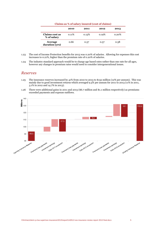| Claims as % of salary insured (cost of claims) |          |       |       |          |  |
|------------------------------------------------|----------|-------|-------|----------|--|
|                                                | 2010     | 2011  | 2012  | 2013     |  |
| <b>Claims</b> cost as<br>% of salary           | $0.11\%$ | 0.13% | 0.19% | $0.20\%$ |  |
| Average<br>duration (yrs)                      | 0.66     | 0.57  | 0.57  | 0.58     |  |

- 1.23 The cost of Income Protection benefits for 2013 was 0.20% of salaries. Allowing for expenses this cost increases to 0.21%, higher than the premium rate of 0.20% of salaries.
- 1.24 The industry standard approach would be to charge age based rates rather than one rate for all ages, however any changes in premium rates would need to consider intergenerational issues.

#### *Reserves*

- 1.25 The insurance reserves increased by 41% from 2010 to 2013 to \$132 million (12% per annum). This was mainly due to good investment returns which averaged 9.5% per annum for 2011 to 2013 (11% in 2011, 3.1% in 2012 and 14.7% in 2013).
- 1.26 There were additional gains in 2011 and 2013 (\$6.7 million and \$1.1 million respectively) as premiums exceeded payments and expense outflows.

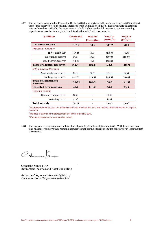1.27 The level of recommended Prudential Reserves (\$46 million) and self-insurance reserves (\$52 million) leave "free reserves" of \$34 million, increased from \$33 million in 2010. The favourable investment returns have been offset by the requirement to hold higher prudential reserves to cover worsening experience across the industry and the introduction of a fixed cover reserve.

| \$ million                                     | <b>Death and</b><br><b>Income</b><br><b>TPD</b><br><b>Protection</b> |        | <b>Total at</b><br>30/06/13 | <b>Total at</b><br>30/6/10 |
|------------------------------------------------|----------------------------------------------------------------------|--------|-----------------------------|----------------------------|
| Insurance reserve <sup>1</sup>                 | 108.3                                                                | 23.9   | 132.2                       | 93.4                       |
| <b>Prudential Reserves</b>                     |                                                                      |        |                             |                            |
| <b>IBNR &amp; IBNER<sup>2</sup></b>            | (17.3)                                                               | (8.4)  | (25.7)                      | (8.7)                      |
| <b>Fluctuation reserve</b>                     | (5.0)                                                                | (5.0)  | (10.0)                      | (10.0)                     |
| <b>Fixed Cover Reserves</b>                    | (10.0)                                                               | 0.0    | (10.0)                      |                            |
| <b>Total Prudential Reserves</b>               | (32.3)                                                               | (13.4) | (45.7)                      | (18.7)                     |
| Self-insurance Reserves                        |                                                                      |        |                             |                            |
| Asset resilience reserve                       | (4.8)                                                                | (2.0)  | (6.8)                       | (1.3)                      |
| Contingency reserve                            | (26.0)                                                               | (19.5) | (45.5)                      | (40.0)                     |
| <b>Total Self Insurance</b><br><b>Reserves</b> | (30.8)                                                               | (21.5) | (52.3)                      | (41.3)                     |
| <b>Expected 'free reserves'</b>                | 45.2                                                                 | (11.0) | 34.2                        | 33.4                       |
| <b>Ongoing Subsidy</b>                         |                                                                      |        |                             |                            |
| Standard default cover                         | (2.2)                                                                |        | (2.2)                       |                            |
| Voluntary cover                                | (1.1)                                                                |        | (1.1)                       |                            |
| <b>Total subsidy</b>                           | (3.3)                                                                |        | (3.3)                       | (3.1)                      |

<sup>1</sup> Insurance reserve of \$132.2m notionally allocated to Death and TPD and Income Protection based on Triple S accounts.

 $2$  Includes allowance for underestimation of IBNR & IBNR at 50%.

<sup>3</sup> Estimated based on current member cohort.

1.28 The insurance reserves remain substantial, at over \$132 million at 30 June 2013. With free reserves of \$34 million, we believe they remain adequate to support the current premium subsidy for at least the next three years.

Cothern Lane

Catherine Nance FIAA Retirement Incomes and Asset Consulting

*Authorised Representative (#265248) of PricewaterhouseCoopers Securities Ltd*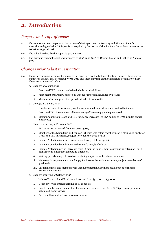# *2. Introduction*

#### *Purpose and scope of report*

- 2.1 This report has been prepared at the request of the Department of Treasury and Finance of South Australia, acting on behalf of Super SA as required by Section 17 of the *Southern State Superannuation Act 2009* (see Appendix A).
- 2.2 The valuation date for this report is 30 June 2013.
- 2.3 The previous triennial report was prepared as at 30 June 2010 by Dermot Balson and Catherine Nance of PwC.

#### *Changes prior to last investigation*

- 2.4 There have been no significant changes to the benefits since the last investigation, however there were a number of changes that occurred prior to 2010 and these may impact the experience from 2010 to 2013. These are summarised below.
	- a. Changes at August 2009
		- i. Death and TPD cover expanded to include terminal illness
		- ii. Most members are now covered by Income Protection Insurance by default
		- iii. Maximum Income protection period extended to 24 months.
	- b. Changes at January 2009
		- i. Number of units of insurance provided without medical evidence was doubled to 2 units
		- ii. Death and TPD Insurance for all members aged between 59 and 63 increased
		- iii. Maximum limits on Death and TPD insurance increased (to \$1.5 million or \$750,000 for casual employees).
	- c. Changes occurring at February 2007
		- i. TPD cover was extended from age 60 to age 65
		- ii. Members of the Lump Sum and Pension Schemes who salary sacrifice into Triple S could apply for Death and TPD insurance, subject to evidence of good health
		- iii. Income Protection insurance was extended to age 60 from age 55
		- iv. Income Protection benefit increased from 2/3 to 75% of salary
		- v. Income Protection period increased from 12 months (plus 6 month extenuating extension) to 18 months (plus 6 months extenuating extension)
		- vi. Waiting period changed to 30 days, replacing requirement to exhaust sick leave
		- vii. Non-contributory members could apply for Income Protection insurance, subject to evidence of good health
		- viii. Casual members and members with income protection elsewhere could opt out of Income Protection insurance.
	- d. Changes occurring at October 2005
		- i. Value of Standard and Fixed units increased from \$50,000 to \$75,000
		- ii. Death cover was extended from age 60 to age 65
		- iii. Cost to members of a Standard unit of insurance reduced from \$1 to \$0.75 per week (premium subsidised from reserves)
		- iv. Cost of a Fixed unit of insurance was reduced.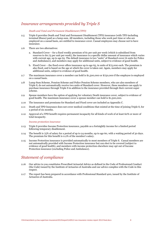### *Insurance arrangements provided by Triple S*

*Death and Total and Permanent Disablement (TPD)*

- 2.5 Triple S provides Death and Total and Permanent Disablement (TPD) insurance (with TPD including terminal illness) paid as a lump sum. All members, including those who work part time or who are employed on a casual basis, are entitled to insurance cover. Casual employees may choose not to have insurance.
- 2.6 There are two alternatives:
	- a. Standard Cover for a fixed weekly premium of \$1 per unit per week (which is subsidised from reserves to \$0.75 per unit per week), the insurance is a specific dollar amount of insurance which varies with current age, up to age 65. The default insurance is two "units" of Standard cover (6 units for Police and Ambulance), and members may apply for additional units, subject to evidence of good health.
	- b. Fixed Cover the fixed cover offers insurance up to age 65, in units of \$75,000 each. The premium is also fixed, and is based on the age at which the cover is taken out. Again, members may apply for additional units, subject to evidence of good health.
- 2.7 The maximum insurance cover a member can hold is \$1,500,000 or \$750,000 if the employee is employed on a casual basis.
- 2.8 Lump Sum Scheme, Pension Scheme and Police Pension Scheme members, who are also members of Triple S, do not automatically receive two units of Standard cover. However, these members can apply to purchase insurance through Triple S in addition to the insurance provided through their current super scheme.
- 2.9 Spouse members have the option of applying for voluntary Death insurance cover, subject to evidence of good health. The maximum insurance cover a spouse member can hold is \$1,500,000.
- 2.10 The insurance and premiums for Standard and Fixed cover are included as Appendix C.
- 2.11 Death and TPD Insurance does not cover medical conditions that existed at the time of joining Triple S, for a period of six months.
- 2.12 Approval of a TPD benefit requires permanent incapacity for all kinds of work of at least 60% or more of total incapacity.

*Income protection insurance*

- 2.13 Triple S provides Income Protection insurance, payable as a fortnightly income for a limited period following temporary disablement.
- 2.14 The benefit is 75% of salary for a period of up to 24 months, up to age 60, with a waiting period of 30 days. The premium for this benefit is 0.2% of the member's salary.
- 2.15 Income Protection insurance is provided automatically to most members of Triple S. Casual members are not automatically provided with Income Protection insurance but can elect to be covered (subject to evidence of good health), and members with income protection elsewhere may opt out of Income Protection insurance (excluding Police and Ambulance).

### *Statement of compliance*

- 2.16 Our advice to you constitutes Prescribed Actuarial Advice as defined in the Code of Professional Conduct (the Code) issued by the Institute of Actuaries of Australia and our advice complies with the Code in this respect.
- 2.17 The report has been prepared in accordance with Professional Standard 400, issued by the Institute of Actuaries of Australia.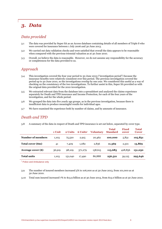## *3. Data*

#### *Data provided*

- 3.1 The data was provided by Super SA as an Access database containing details of all members of Triple S who were covered for insurance between 1 July 2006 and 30 June 2013.
- 3.2 We carried out data validation checks and were satisfied that overall the data appears to be reasonable when compared with the previous triennial valuation as at 30 June 2010.
- 3.3 Overall, we believe the data is reasonable. However, we do not assume any responsibility for the accuracy or completeness for the data provided to us.

#### *Approach*

- 3.4 This investigation covered the four year period to 30 June 2013 ("investigation period") because the insurance benefits were relatively consistent over this period. The previous investigation covered the period up to 30 June 2010, so the investigations overlap by one year. We considered this useful as a way of checking on the consistency of the two investigations. To further assist in this, Super SA provided us with the original data provided for the 2010 investigation.
- 3.5 We extracted relevant data from the database into a spreadsheet and analysed the claims experience separately for Death and TPD insurance and Income Protection, for each of the four years of the investigation, and for the whole period.
- 3.6 We grouped the data into five yearly age groups, as in the previous investigation, because there is insufficient data to produce meaningful results for individual ages.
- 3.7 We have examined the experience both by number of claims, and by amounts of insurance.

### *Death and TPD*

3.8 A summary of the data in respect of Death and TPD insurance is set out below, separated by cover type.

|                    | 1 Unit | 2 Units | $6$ Units <sup>1</sup> | <b>Voluntary</b> | <b>Total</b><br><b>Standard</b> | <b>Fixed</b><br>cover | <b>Total</b><br><b>Cover</b> |
|--------------------|--------|---------|------------------------|------------------|---------------------------------|-----------------------|------------------------------|
| Number of members  | 1,103  | 75,520  | 2,915                  | 20,462           | 100,000                         | 5,831                 | 105,831                      |
| Total cover (\$m)  | 41     | 7,409   | 1,082                  | 2,836            | 11,369                          | 2,501                 | 13,869                       |
| Average cover (\$) | 36,919 | 98,109  | 371,279                | 138,615          | 113,685                         | 428,856               | 131,050                      |
| <b>Total units</b> | 1,103  | 151,040 | 17,490                 | 86,888           | 256,521                         | 39,125                | 295,646                      |

<sup>1</sup> Police and Ambulance only

- 3.9 The number of insured members increased 5% to 106,000 as at 30 June 2013, from 101,000 as at 30 June 2010.
- 3.10 Total sum insured increased 7% to \$13.9 billion as at 30 June 2013, from \$13.0 billion as at 30 June 2010.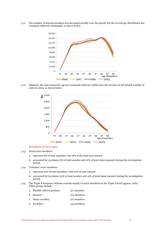3.11 The number of insured members has increased steadily over the period, but the overall age distribution has remained relatively unchanged, as shown below.



3.12 Similarly, the sum insured by age has remained relatively stable since the increase in the default number of units in 2009, as shown below.



#### *Breakdown of cover types*

- 3.13 Fixed cover members:
	- a. represent 6% of total members, but 18% of the total sum insured
	- b. accounted for 25 claims (5% of total number and 16% of total claim amount) during the investigation period.
- 3.14 Voluntary cover members:
	- a. represent 19% of total members, with 20% of sum insured
	- b. accounted for 69 claims (13% of total number and 19% of total claim amount) during the investigation period.
- 3.15 The Triple S Insurance Scheme consists mainly of active members in the Triple S fund (approx. 99%). Other groups include:

| a. Flexible rollover product: | 471 members  |
|-------------------------------|--------------|
| b. Spouses:                   | 104 members  |
| c. Salary sacrifice:          | 127 members  |
| d. SA Select:                 | 133 members. |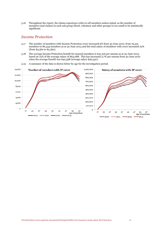3.16 Throughout the report, the claims experience refers to all members unless stated, as the number of members (and claims) in each sub group (fixed, voluntary and other groups) is too small to be statistically significant.

#### *Income Protection*

- 3.17 The number of members with Income Protection cover increased 9% from 30 June 2010, from 79,331 members to 86,544 members as at 30 June 2013 and the total salary of members with cover increased 22% (from \$4.5bn to \$5.5bn).
- 3.18 The average Income Protection benefit for insured members is \$47,316 per annum as at 30 June 2013, based on 75% of the average salary of \$63,088. This has increased 3.7% per annum from 30 June 2010 when the average benefit was \$42,398 (average salary \$56,530).
- 3.19 A summary of the data is shown below by age for the investigation period.

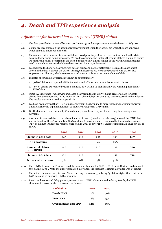# *4. Death and TPD experience analysis*

### *Adjustment for incurred but not reported (IBNR) claims*

- 4.1 The data provided to us was effective at 30 June 2013, and was produced towards the end of July 2013.
- 4.2 Claims are recognised on the administration system not when they occur, but when they are approved, which can take a number of months.
- 4.3 This means that a number of claims which occurred prior to 30 June 2013 are not included in the data, because they are still being processed. We need to estimate and include the value of these claims, to ensure we capture all claims occurring in the period under review. This is similar to the way in which accounts need to include expenses which have been accrued but not yet incurred.
- 4.4 We analysed the historic delay between date of claim and date of settlement. Because the date of exit shown in the data is always the date of leaving employment, we were also provided with date of last employer contribution, which we were advised was suitable as an estimate of date of claim.
- 4.5 Industry observed delay periods are showing approximately:
	- a. 90% of claims are reported within 6 months and 98% within 12 months for death claims
	- b. 50% of claims are reported within 6 months, 80% within 12 months and 90% within 24 months for TPD claims.
- 4.6 Super SA experience was showing increased delay from that in 2007-10, and greater delays for death claims than those observed in the industry. TPD claim delays are similar to those observed in the industry. The results are summarised in Appendix B.
- 4.7 We have been advised that TPD claims management has been made more rigorous, increasing approval times, which could explain alignment to industry averages for TPD claims.
- 4.8 Death claims are now checked by Claims Management before payment which may be delaying some payments.
- 4.9 A review of claims advised to have been incurred in 2010 (based on data in 2013) showed the IBNR that was included for the 2010 valuation (29% of claims) was understated compared to the actual experience (52% of claims). Additional reserves were held in 2010 to cover IBNR underestimation at a level of 50% of IBNR.

|                                        | 2007 | 2008  | 2009 | 2010 | <b>Total</b> |
|----------------------------------------|------|-------|------|------|--------------|
| Claims in 2010 data                    | 147  | 210   | 207  | 103  | 667          |
| <b>IBNR</b> allowance                  |      |       | 6%   | 29%  |              |
| <b>Number of claims</b><br>(with IBNR) | 147  | 210   | 220  | 132  | 709          |
| Claims in 2013 data                    | 152  | 210   | 213  | 157  | 732          |
| <b>Actual claim increase</b>           | 3%   | $0\%$ | 3%   | 52%  |              |

4.10 The IBNR allowance in 2010 increased the number of claims for 2007 to 2010 by 42 (667 advised claims to 709 claims, 6.3%). With the underestimation allowance, the total IBNR claims allowance was 63 claims.

4.11 The actual claims for 2007 to 2010 (based on 2013 data) were 732, being 65 claims higher than that in the 2010 data and in line with IBNR allowance.

4.12 Based on the observed delay pattern, review of 2010 IBNR allowance and industry trends, the IBNR allowance for 2013 has been increased as follows:

| % of claims                  | 2012   | 2013 |
|------------------------------|--------|------|
| <b>Death IBNR</b>            | $10\%$ | 70%  |
| <b>TPD IRNR</b>              | 16%    | 65%  |
| <b>Overall death and TPD</b> | 14%    | 66%  |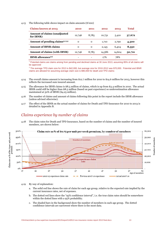4.13 The following table shows impact on claim amounts (\$'000)

| <b>Claims known at 2013</b>                             | 2010     | 2011     | 2012   | 2013   | <b>Total</b> |
|---------------------------------------------------------|----------|----------|--------|--------|--------------|
| <b>Amount of claims (unadjusted)</b><br>for IBNR)       | 12,746   | 8,785    | 10,731 | 5,410  | 37,672       |
| Amount of pending claims <sup><math>(1)(2)</math></sup> | $\Omega$ | $\Omega$ | 1,710  | 2,790  | 4,500        |
| <b>Amount of IBNR claims</b>                            | $\Omega$ | $\Omega$ | 2,145  | 6,404  | 8,550        |
| <b>Amount of claims (with IBNR)</b>                     | 12,746   | 8,785    | 14,586 | 14,604 | 50,721       |
| <b>IBNR</b> allowance <sup>(2)</sup>                    |          |          | 17%    | 78%    |              |

<sup>1</sup> Potential claims are claims arising from pending and declined claims at 30 June 2013, assuming 85% of all claims will be approved

 $^2$  The average TPD claim size for 2013 is \$42,000, but average size for 2010-2012 was \$70,000. Potential and IBNR claims are allowed for assuming average claim size is \$90,000 for death and TPD claims

- 4.14 The overall claims amount is increasing from \$12.7 million for 2010 to \$14.6 million for 2013, however this reflects the increased sum insured amount.
- 4.15 The allowance for IBNR claims is \$8.5 million of claims, which is up from \$3.4 million in 2010. The actual IBNR could still be higher than \$8.5 million (based on past experience) so underestimation allowance maintained at 50% of IBNR (\$4.25 million).
- 4.16 The number of claims and amount of claims following this point in the report include the IBNR allowance (unless advised otherwise).
- 4.17 The effect of the IBNR on the actual number of claims for Death and TPD Insurance for 2010 to 2013 is detailed in Appendix B.

### *Claims experience by number of claims*

4.18 The claim rates for Death and TPD Insurance, based on the number of claims and the number of insured members, are shown below:



- 4.19 By way of explanation:
	- a. The solid red line shows the rate of claim for each age group, relative to the expected rate implied by the current insurance rates, net of expenses.
	- b. The dotted red lines show the "95% confidence interval", i.e. the true claim rates should be somewhere within the dotted lines with a 95% probability.
	- c. The shaded bars in the background show the number of members in each age group. The dotted confidence intervals are narrowest where there is the most data.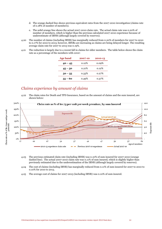- d. The orange dashed line shows previous equivalent rates from the 2007-2010 investigation (claims rate of 0.18% of number of members).
- e. The solid orange line shows the actual 2007-2010 claim rate. The actual claim rate was 0.20% of number of members, which is higher than the previous calculated 2007-2010 experience because of underestimate of IBNR (although largely covered by reserves).
- 4.20 The number of claims (including IBNR) has marginally reduced from 0.20% of members for 2007 to 2010 to 0.17% for 2010 to 2013; however, IBNRs are increasing as claims are being delayed longer. The resulting average claim rate for 2007 to 2013 was 0.19%.
- 4.21 The reduction is largely due to a recent fall in claims for older members. The table below shows the claim rate as a percentage of the members with cover:

| <b>Age band</b> | 2007-10 | 2010-13 |
|-----------------|---------|---------|
| $40 - 45$       | 0.12%   | 0.09%   |
| $45 - 50$       | 0.21%   | 0.12%   |
| $50 - 55$       | 0.33%   | 0.27%   |
| $55 - 60$       | 0.49%   | 0.37%   |

### *Claims experience by amount of claims*

4.22 The claim rates for Death and TPD Insurance, based on the amount of claims and the sum insured, are shown below:



- 4.23 The previous estimated claim rate (including IBNR) was 0.10% of sum insured for 2007-2010 (orange dashed line). The actual 2007-2010 claim rate was 0.11% of sum insured, which is slightly higher than previously estimated due to the underestimation of the IBNR (although largely covered by reserves).
- 4.24 The cost of claims (including IBNR) has marginally reduced from 0.11% of sum insured for 2007 to 2010 to 0.10% for 2010 to 2013.
- 4.25 The average cost of claims for 2007-2013 (including IBNR) was 0.10% of sum insured.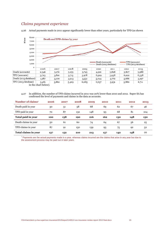### *Claims payment experience*

4.26 Actual payments made in 2011 appear significantly lower than other years, particularly for TPD (as shown



in the chart below).

4.27 In addition, the number of TPD claims incurred in 2011 was 20% lower than 2010 and 2012. Super SA has confirmed the level of payments and claims in the data as accurate.

| Number of claims <sup>1</sup> | 2006 | 2007 | 2008 | 2009 | 2010 | 2011 | 2012 | 2013 |
|-------------------------------|------|------|------|------|------|------|------|------|
| Death paid in year            | 30   | 51   | 58   | 68   | 69   | 62   | 67   | 46   |
| TPD paid in year              | 70   | 87   | 132  | 148  | 93   | 68   | 81   | 104  |
| Total paid in year            | 100  | 138  | 190  | 216  | 162  | 130  | 148  | 150  |
| Death claims in year          | 50   | 61   | 60   | 74   | 64   | 67   | 56   | 25   |
| TPD claims in year            | 87   | 91   | 150  | 139  | 93   | 75   | 92   | 52   |
| Total claims in year          | 137  | 152  | 210  | 213  | 157  | 142  | 148  | 77   |

<sup>1</sup> Payments are the actual payments made in a year, whereas claims incurred are the claims that arise in any year but due to the assessment process may be paid out in later years.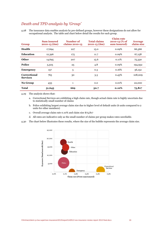### *Death and TPD analysis by 'Group'*

4.28 The insurance data enables analysis by pre-defined groups, however these designations do not allow for occupational analysis. The table and chart below detail the results for each group.

| Group                                  | <b>Sum insured</b><br>$2010 - 13$ (\$m) | Number of<br>claims 2010-13 | <b>Total claims</b><br>$2010 - 13$ (\$m) | <b>Claim rate</b><br>2010-13 (% of<br>sum insured) | <b>Average</b><br>claim size |
|----------------------------------------|-----------------------------------------|-----------------------------|------------------------------------------|----------------------------------------------------|------------------------------|
| Health                                 | 17,694                                  | 227                         | 15.0                                     | 0.09%                                              | 66,366                       |
| <b>Education</b>                       | 12,396                                  | 175                         | 11.7                                     | 0.09%                                              | 67,158                       |
| Other                                  | 14,695                                  | 207                         | 15.6                                     | 0.11%                                              | 75,330                       |
| <b>Police</b>                          | 5,505                                   | 25                          | 4.8                                      | 0.09%                                              | 194,952                      |
| <b>Emergency</b>                       | 157                                     | 5                           | 0.3                                      | 0.16%                                              | 56,152                       |
| <b>Correctional</b><br><b>Services</b> | 765                                     | 30                          | 3.3                                      | 0.43%                                              | 108,009                      |
| <b>No Group</b>                        | 433                                     | $\mathbf{1}$                | 0.0                                      | 0.01%                                              | 22,000                       |
| <b>Total</b>                           | 51,645                                  | 669                         | 50.7                                     | $0.10\%$                                           | 75,817                       |

4.29 The analysis shows that:

- a. Correctional Services are exhibiting a high claim rate, though actual claim rate is highly uncertain due to statistically small number of claims
- b. Police exhibiting largest average claim size due to higher level of default units (6 units compared to 2 units for other members)
- c. Overall average claim rate 0.10% and claim size \$75,817
- d. All rates are indicative only as the small number of claims per group makes rates unreliable.
- 4.30 The chart below illustrates these results, where the size of the bubble represents the average claim size.

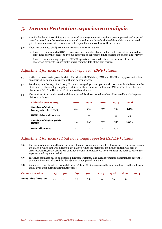# *5. Income Protection experience analysis*

- 5.1 As with death and TPD, claims are not entered on the system until they have been approved, and approval can take several months, so the data provided to us does not include all the claims which were incurred prior to 30 June 2013. We therefore need to adjust the data to allow for these claims.
- 5.2 There are two types of adjustments for Income Protection claims:
	- a. Incurred by not reported (IBNR) provisions are made for claims that are not reported or finalised for some time after they occur, and would otherwise be represented in the claims experience under review
	- b. Incurred but not enough reported (IBNER) provisions are made where the duration of Income Protection payments is potentially longer than the date of the next review.

### *Adjustment for incurred but not reported (IBNR) claims*

- 5.3 As there is no accurate proxy for date of incident with IP claims, IBNR and IBNER are approximated based on observed claim amounts per month and delay patterns.
- 5.4 For the 24 months to 30 April 2013 IP claims averaged 31 claims per month. As claims in the later months of 2013 are yet to develop, targeting 31 claims for these months result in an IBNR of 10% of the observed claims for 2013. The IBNR for 2010 was 10.4% of claims.
- 5.5 The number of Income Protection claims adjusted for the expected number of Incurred but Not Reported claims is as follows:

| Claims known at 2013                      | 2010     | 2011     | 2012     | 2013   | <b>Total</b> |
|-------------------------------------------|----------|----------|----------|--------|--------------|
| Number of claims<br>(unadjusted for IBNR) | 184      | 260      | 377      | 350    | 1,171        |
| <b>IBNR</b> claims allowance              | $\Omega$ | $\Omega$ | $\Omega$ | 35     | 35           |
| Number of claims (with<br><b>IBNR</b> )   | 184      | 260      | 377      | 385    | 1,206        |
| <b>IBNR</b> allowance                     |          | -        |          | $10\%$ |              |

### *Adjustment for incurred but not enough reported (IBNER) claims*

- 5.6 The claims data includes the date on which Income Protection payments will cease, or, if the date is beyond the date on which data was extracted, the date on which the member's medical condition will next be assessed. Clearly, many claims will continue beyond this date, so we need to adjust the dates to reflect the expected total payment period.
- 5.7 IBNER is estimated based on observed duration of claims. The average remaining duration for current IP payments is estimated based the distribution of completed IP claims.
- 5.8 Claims in payment, with a review date after 30 June 2013, are assumed to continue based on the following table, given their current duration (months):

| <b>Current duration</b>                           | $0 - 3$ $3 - 6$ | $6-9$ | $9-12$ $12-15$ $15-18$ $18-21$ $21-24$ |     |     |  |
|---------------------------------------------------|-----------------|-------|----------------------------------------|-----|-----|--|
| <b>Remaining duration</b> $9.0$ $9.5$ $9.5$ $8.5$ |                 |       | 8.5                                    | 7.5 | 4.5 |  |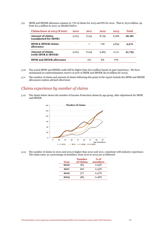5.9 IBNR and IBNER allowance equates to 77% of claims for 2013 and 8% for 2012. That is, \$5.6 million, up from \$2.4 million in 2010, as detailed below.

| Claims know at $2013$ (\$'000)                   | 2010  | 2011  | 2012  | 2013   | Total  |
|--------------------------------------------------|-------|-------|-------|--------|--------|
| <b>Amount of claims</b><br>(unadjusted for IBNR) | 5,023 | 6,153 | 8,739 | 6,266  | 26,181 |
| <b>IBNR &amp; IBNER claims</b><br>allowance      |       | 1     | 726   | 4,845  | 5,572  |
| <b>Amount of claims</b><br>(with IBNR & IBNER)   | 5,023 | 6,154 | 9,465 | 11,111 | 31,753 |
| <b>IBNR and IBNER allowance</b>                  |       | $0\%$ | 8%    | 77%    |        |

- 5.10 The actual IBNR and IBNER could still be higher than \$5.6 million based on past experience. We have maintained an underestimation reserve of 50% of IBNR and IBNER (\$2.8 million for 2013).
- 5.11 The number of claims and amount of claims following this point in the report include the IBNR and IBNER allowances (unless advised otherwise).

### *Claims experience by number of claims*

l,

5.12 The charts below shows the number of Income Protection claims by age group, after adjustment for IBNR and IBNER.



5.13 The number of claims in 2012 and 2013 is higher than 2010 and 2011, consistent with industry experience. The claim rates, as a percentage of members, from 2010 to 2013 are as followed:

|      | <b>Number</b> | $%$ of  |
|------|---------------|---------|
| Year | of claims     | members |
| 2010 | 184           | 0.35%   |
| 2011 | 260           | 0.33%   |
| 2012 | 377           | 0.47%   |
| 2013 | 385           | 0.46%   |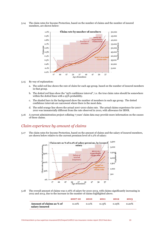5.14 The claim rates for Income Protection, based on the number of claims and the number of insured members, are shown below:



#### 5.15 By way of explanation:

- a. The solid red line shows the rate of claim for each age group, based on the number of insured members in that group.
- b. The dotted red lines show the "95% confidence interval", i.e. the true claim rates should be somewhere within the dotted lines with a 95% probability.
- c. The shaded bars in the background show the number of members in each age group. The dotted confidence intervals are narrowest where there is the most data.
- d. The solid orange line shows the actual 2007-2010 claim rate. The actual claims experience for 2007- 2010 was immaterially different from the rate observed in 2010, with allowance for IBNR.
- 5.16 A current administration project collating 7 years' claim data may provide more information on the causes of these claims.

### *Claim experience by amount of claims*

5.17 The claim rates for Income Protection, based on the amount of claims and the salary of insured members, are shown below relative to the current premium level of 0.2% of salary:



5.18 The overall amount of claims was 0.16% of salary for 2010-2013, with claims significantly increasing in 2012 and 2013, due to the increase in the number of claims highlighted above.

|                                            | 2007-10  | 2010     | 2011  | 2012  | 2013     |
|--------------------------------------------|----------|----------|-------|-------|----------|
| Amount of claims as % of<br>salary insured | $0.10\%$ | $0.11\%$ | 0.13% | 0.19% | $0.20\%$ |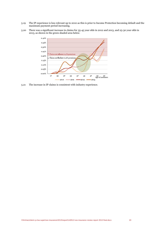- 5.19 The IP experience is less relevant up to 2010 as this is prior to Income Protection becoming default and the maximum payment period increasing.
- 5.20 There was a significant increase in claims for 35-45 year olds in 2012 and 2013, and 25-30 year olds in 2013, as shown in the green shaded area below.



5.21 The increase in IP claims is consistent with industry experience.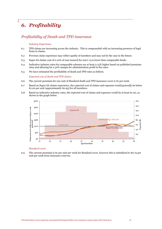# *6. Profitability*

### *Profitability of Death and TPD insurance*

#### *Industry Experience*

- 6.1 TPD claims are increasing across the industry. This is compounded with an increasing presence of legal firms in claims.
- 6.2 Previous claim experience may reflect apathy of members and may not be the case in the future.
- 6.3 Super SA claims cost of 0.10% of sum insured for 2007-13 is lower than comparable funds.
- 6.4 Indicative industry rates for comparable schemes are at least 5-15% higher based on published premium rates and allowing for a 30% margin for administration profit in the rates.
- 6.5 We have estimated the profitability of death and TPD rates as follows.

#### *Expected cost of death and TPD claims*

- 6.6 The current premium for one unit of Standard death and TPD insurance cover is \$1 per week.
- 6.7 Based on Super SA claims experience, the expected cost of claims and expenses would generally be below \$1.00 per unit (approximately \$0.93) for all members.
- 6.8 Based on indicative industry rates, the expected cost of claims and expenses would be at least \$1.00, as shown in the graph below.



#### *Standard cover*

6.9 The current premium is \$1 per unit per week for Standard cover, however this is subsidised to \$0.75 per unit per week from insurance reserves.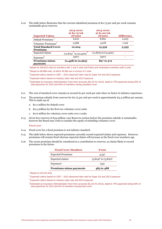6.10 The table below illustrates that the current subsidised premium of \$0.75 per unit per week remains sustainable given reserves.

| <b>Expected Values</b>                  | <b>2013 cover</b><br>at $$0.75/wk$<br>$(\$'000)$ | <b>2013 cover</b><br>at $$1.00/wk$<br>$(\$'000)$ | <b>Difference</b> |
|-----------------------------------------|--------------------------------------------------|--------------------------------------------------|-------------------|
| Default Premiums <sup>1</sup>           | 6,616                                            | 8,821                                            | 2,205             |
| Voluntary Premiums <sup>2</sup>         | 3,389                                            | 4,518                                            | 1,129             |
| <b>Total Standard Cover</b><br>Premiums | 10,004                                           | 13,339                                           | 3,335             |
| <b>Expected claims</b>                  | $(11,875)$ to $(12,400)$                         | $(11,875)$ to $(12,400)$                         |                   |
| Expenses <sup>5</sup>                   | (567)                                            | (567)                                            | -                 |
| Premiums minus<br><b>payments</b>       | $(2,438)$ to $(2,963)$                           | 897 to 372                                       |                   |

<sup>1</sup> Based on 169,633 units for members with 1 and 2 units and Police and Ambulance members with 6 units

 $2^{2}$  Based on 86,888 units, of which 45,964 are in excess of 2 units

<sup>3</sup> Expected claims based on 2007 – 2013 observed claim rate for Super SA and 2013 exposure

<sup>4</sup> Expected claims based on industry claim rate and 2013 exposure

<sup>5</sup> Estimated as Insurance Administration Fees from accounts (\$1.2m for 2013), death & TPD payments being 50% of total payments for 2013 and 94% of members having standard cover

- 6.11 The cost of standard cover remains at around \$1 per week per unit when we factor in industry experience.
- 6.12 The premium subsidy from reserves for \$0.75 per unit per week is approximately \$3.3 million per annum. This is made up of:
	- a. \$2.2 million for default cover
	- b. \$0.5 million for the first two voluntary cover units
	- c. \$0.6 million for voluntary cover units over 2 units
- 6.13 Given free reserves of \$34 million, (see Reserves section below) the premium subsidy is sustainable; however the Board may wish to consider the equity of subsiding voluntary cover.

#### *Fixed cover*

- 6.14 Fixed cover for a fixed premium is not industry standard.
- 6.15 The table below shows expected premiums currently exceed expected claims and expenses. However, premiums will remain fixed whereas expected claims will increase as the fixed cover members age.
- 6.16 The excess premium should be considered as a contribution to reserves, as claims likely to exceed premiums in the future.

| <b>Fixed Cover Members</b>     | $\boldsymbol{3}^{\prime}$ 000 |
|--------------------------------|-------------------------------|
| <b>Expected Premiums</b>       | 4,337                         |
| Expected claims <sup>1</sup>   | $(3,819)^2$ to $(3,816)^3$    |
| Expenses <sup>4</sup>          | (33)                          |
| <b>Premiums minus payments</b> | 485 to 488                    |

<sup>1</sup> Based on 39,125 units

 $2$  Expected claims based on 2007 – 2013 observed claim rate for Super SA and 2013 exposure

<sup>3</sup> Expected claims based on industry claim rate and 2013 exposure

<sup>4</sup> Estimated as Insurance Administration Fees from accounts (\$1.2m for 2013), death & TPD payments being 50% of total payments for 2013 and 6% of members having fixed cover.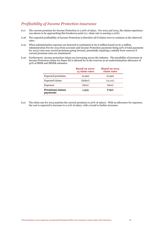### *Profitability of Income Protection insurance*

- 6.17 The current premium for Income Protection is 0.20% of salary. For 2012 and 2013, the claims experience was shown to be approaching this breakeven point (i.e. claim rate is nearing 0.20%).
- 6.18 The expected profitability of Income Protection is therefore nil if claims were to continue at the observed rates.
- 6.19 When administration expenses are factored in (estimated at \$0.6 million based on \$1.2 million Administration Fee for 2013 from accounts and Income Protection payments being 50% of total payments for 2013) costs may exceed premiums going forward, potentially requiring a subsidy from reserves if current premium rates are maintained.
- 6.20 Furthermore, income protection claims are increasing across the industry. The possibility of increases in Income Protection claims for Super SA is allowed for in the reserves as an underestimation allowance of 50% of IBNR and IBNER estimates.

|                                   | <b>Based on 2010-</b><br>13 claim rates | <b>Based on 2013</b><br>claim rates |
|-----------------------------------|-----------------------------------------|-------------------------------------|
| <b>Expected premiums</b>          | 10,920                                  | 10,920                              |
| <b>Expected claims</b>            | (8,807)                                 | (11, 111)                           |
| <b>Expenses</b>                   | (600)                                   | (600)                               |
| <b>Premiums minus</b><br>payments | 1,513                                   | (791)                               |

6.21 The claim rate for 2013 matches the current premium (0.20% of salary). With an allowance for expenses, the cost is expected to increase to 0.21% of salary, with a trend to further increases.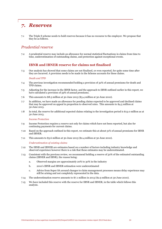# *7. Reserves*

7.1 The Triple S scheme needs to hold reserves because it has no recourse to the employer. We propose that they be as follows.

### *Prudential reserve*

7.2 A prudential reserve may include an allowance for normal statistical fluctuations in claims from time to time, underestimation of outstanding claims, and protection against exceptional events.

#### **IBNR and IBNER reserve for claims not finalised**

7.3 Our analysis has showed that some claims are not finalised, or even reported, for quite some time after they are incurred. A provision needs to be made in the Scheme accounts for these claims.

*Death and TPD*

- 7.4 The previous investigation recommended holding a provision of 32% of annual premiums for death and TPD claims.
- 7.5 Adjusting for the increase in the IBNR factor, and the approach to IBNR outlined earlier in this report, we have calculated a provision of 59% of annual premiums.
- 7.6 This amounts to \$8.5 million at 30 June 2013 (\$3.4 million at 30 June 2010).
- 7.7 In addition, we have made an allowance for pending claims expected to be approved and declined claims that may be approved on appeal in proportion to observed rates. This amounts to \$4.5 million at 30 June 2013.
- 7.8 In total, the reserve for additional expected claims relating to the investigation period is \$13.0 million as at 30 June 2013.

*Income Protection*

- 7.9 Income Protection requires a reserve not only for claims which have not been reported, but also for continuing payments for current claims.
- 7.10 Based on the approach outlined in this report, we estimate this at about 51% of annual premiums for IBNR and IBNER.
- 7.11 This amounts to \$5.6 million at 30 June 2013 (\$2.4 million at 30 June 2010).

*Underestimation of existing claims*

- 7.12 The IBNR and IBNER are estimates based on a number of factors including industry knowledge and observed experience however there is a risk that these estimates may be underestimated.
- 7.13 Consistent with the previous review, we recommend holding a reserve of 50% of the estimated outstanding claims (IBNER and IBNR), the reason being:
	- a. Observed margins are approximately 20% to 30% in the industry
	- b. 2010's IBNR and IBNER estimation were underestimated
	- c. Advice from Super SA around changes to claim management processes means delay experience may still be arising and not completely represented in the data.
- 7.14 The underestimation reserve amounts to \$7.1 million in 2013 (\$2.9 million at 30 June 2010).
- 7.15 We have included this reserve with the reserve for IBNR and IBNER, in the table which follows this analysis.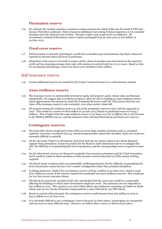#### **Fluctuation reserve**

7.16 We estimate the random statistical variation in claim amounts for a fund of this size for Death & TPD and Income Protection combined, which is based on additional cost arising if claims experience is two standard deviation from the observed rate of claim. This gives claim costs at 95% level of confidence. We recommend a statistical fluctuation reserve remain unchanged from 30 June 2010 at \$10 million at 30 June 2013.

#### **Fixed cover reserve**

- 7.17 Fixed premium is currently operating at a profit but as members age and premiums stay fixed, claims are expected to increase above the level of premiums.
- 7.18 Estimation of the reserve to be held in respect of this cohort of members has been based on the expected profit and loss assuming average claim rates will continue at current levels for 5 to 10 years. Based on this, we recommend introducing a reserve for fixed cover members of \$10 million.

#### *Self-insurance reserve*

7.19 Certain additional reserves are needed for the Triple S scheme because it is a self-insurance scheme.

#### **Asset resilience reserve**

- 7.20 The insurance reserve is substantially invested in equity and property assets, whose value can fluctuate substantially. We suggest that it would be prudent to allow for this by holding an asset resilience reserve which approximates the amount by which the Prudential Reserves could fall. This ensures that the true value of the insurance reserve is not overstated, even when market values fall.
- 7.21 We propose setting the resilience reserve at 15% of the prudential reserves in line with the approach in 2010. This results in a reserve of \$6.8 million at 30 June 2013 (based on prudential reserves of \$45.7 million). This is higher than the asset resilience reserve at 30 June 2010 (\$1.3 million), due to the increase in the IBNR & IBNER reserves, and the inclusion of the statistical fluctuation and fixed cover reserves.

#### **Contingency reserves**

- 7.22 The main risk is from exceptional events which can incur large numbers of claims, such as a hospital epidemic, terrorism, or judicial risk (e.g. misinforming members about their benefits). Such rare events are extremely difficult to quantify.
- 7.23 On the one hand, Triple S is self-insured, and must meet its own claims unless it can obtain financial support from government. It may be prudent for the Board to hold substantial reserves to mitigate this risk. The difficulty is in quantifying the level of protection, and the corresponding reserve required to meet it.
- 7.24 On the other hand, reserves are financed completely from insurance premiums paid by Triple S members, and it would be unfair to those members to hold excessive reserves that had very little chance of being required.
- 7.25 The Board needs to balance these two potentially conflicting interests, but the difficulty of quantifying the level of protection means this has to be a matter of judgement rather than actuarial calculation.
- 7.26 As things stand now, Triple S has an insurance reserve of \$132.2 million at 30 June 2013, which is some \$79.7 million in excess of the reserves required for prudential and asset resilience reserves. This would pay for over 600 excess insurance claims.
- 7.27 The Board has previously considered this risk, and decided that the worst case would be a catastrophe affecting the buildings in which most Government employees work. The potential cost was estimated at \$40 million in 2010. This equates to an event which affects 260 employees, assuming 130 (half) are death claims and 130 are Income Protection claims paid for 2 years followed by 130 TPD claims.
- 7.28 Based on current claim amounts, the contingency reserve would increase from \$40 million in 2010 to \$45.5 million as at 30 June 2013.
- 7.29 It is extremely difficult to set a contingency reserve because, by their nature, catastrophes are unexpected and can occur in many different ways. However, we believe that a reserve at this level provides a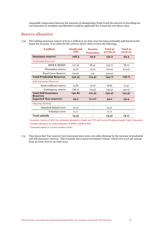reasonable compromise between the interests of safeguarding Triple S and the interest of providing low cost insurance to members and therefore would be applicable for at least the next three years.

#### *Reserve allocation*

7.30 The existing insurance reserve of \$132.2 million at 30 June 2013 has been notionally split based on the Super SA accounts. If we allow for the reserves above, then we have the following:

| \$ million                                     | <b>Death and</b><br><b>TPD</b> | <b>Income</b><br><b>Protection</b> | <b>Total at</b><br>30/06/13 | <b>Total at</b><br>30/6/10 |
|------------------------------------------------|--------------------------------|------------------------------------|-----------------------------|----------------------------|
| Insurance reserve <sup>1</sup>                 | 108.3                          | 23.9                               | 132.2                       | 93.4                       |
| <b>Prudential Reserves</b>                     |                                |                                    |                             |                            |
| <b>IBNR &amp; IBNER<sup>2</sup></b>            | (17.3)                         | (8.4)                              | (25.7)                      | (8.7)                      |
| <b>Fluctuation reserve</b>                     | (5.0)                          | (5.0)                              | (10.0)                      | (10.0)                     |
| <b>Fixed Cover Reserve<sup>3</sup></b>         | (10.0)                         | 0.0                                | (10.0)                      |                            |
| <b>Total Prudential Reserves</b>               | (32.3)                         | (13.4)                             | (45.7)                      | (18.7)                     |
| <b>Self-insurance Reserves</b>                 |                                |                                    |                             |                            |
| Asset resilience reserve                       | (4.8)                          | (2.0)                              | (6.8)                       | (1.3)                      |
| Contingency reserve                            | (26.0)                         | (19.5)                             | (45.5)                      | (40.0)                     |
| <b>Total Self Insurance</b><br><b>Reserves</b> | (30.8)                         | (21.5)                             | (52.3)                      | (41.3)                     |
| <b>Expected 'free reserves'</b>                | 45.2                           | (11.0)                             | 34.2                        | 33.4                       |
| <b>Ongoing Subsidy</b>                         |                                |                                    |                             |                            |
| Standard default cover                         | (2.2)                          |                                    | (2.2)                       |                            |
| Voluntary cover                                | (1.1)                          |                                    | (1.1)                       |                            |
| <b>Total subsidy</b>                           | (3.3)                          |                                    | (3.3)                       | (3.1)                      |

<sup>1</sup> Insurance reserve of \$132.2m notionally allocated to Death and TPD and Income Protection based Triple S accounts.

<sup>2</sup> Includes allowance for underestimation of IBNR & IBNR at 50%.

<sup>3</sup> Estimated based on current member cohort.

7.31 This shows that 'free reserves' have increased since 2010 even after allowing for the increase of prudential and self-insurance reserves. This is mainly due to good investment returns, which were 9.5% per annum from 30 June 2010 to 30 June 2013.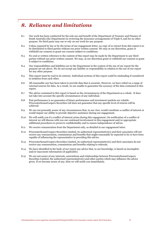# *8. Reliance and limitations*

- 8.1 Our work has been conducted for the sole use and benefit of the Department of Treasury and Finance of South Australia (the Department) in reviewing the insurance arrangements of Triple S, and for no other purpose. No third party may use or rely on our work for any purpose.
- 8.2 Unless required by law or by the terms of our engagement letter, no copy of or extract from this report is to be distributed to third parties without our prior written consent. We may at our discretion, grant or withhold our consent or grant our consent subject to conditions.
- 8.3 No oral or written reference to the content of this report may be made by the Department to any third parties without our prior written consent. We may, at our discretion grant or withhold our consent or grant it subject to conditions.
- 8.4 Our responsibilities and liabilities are to the Department in the context of the use of our report for the purpose set out above. We do not accept any liability or responsibility in relation to the use of our report for any other purpose.
- 8.5 This report must be read in its entirety. Individual sections of this report could be misleading if considered in isolation from each other.
- 8.6 All reasonable care has been taken to provide data that is accurate. However, we have relied on a range of external sources for data. As a result, we are unable to guarantee the accuracy of the data contained in this report.
- 8.7 The advice contained in this report is based on the circumstances of the Department as a whole. It does not take into account the specific circumstances of any individual.
- 8.8 Past performance is no guarantee of future performance and investment markets are volatile. PricewaterhouseCoopers Securities Ltd does not guarantee that any specific level of returns will be achieved.
- 8.9 We are not presently aware of any circumstances that, in our view, would constitute a conflict of interest or would impair our ability to provide objective assistance during our engagement.
- 8.10 We will notify you if a conflict of interest arises during this engagement. On notification of a conflict of interest we will discuss with you our continued involvement in this engagement and/or appropriate additional procedures to preserve confidentiality and to ensure independence of advice.
- 8.11 We receive remuneration from the Department only, as detailed in our engagement letter.
- 8.12 PricewaterhouseCoopers Securities Limited, its authorised representative(s) and their associates will not receive any remuneration, commissions and benefits that might reasonably be expected to be or have been capable of influencing the representative in providing this advice.
- 8.13 PricewaterhouseCoopers Securities Limited, its authorised representative(s) and their associates do not receive any remuneration, commissions and benefits relating to referrals.
- 8.14 We have identified in the body of our report any advice that, to our knowledge, is based on incomplete and/or inaccurate information (if applicable).
- 8.15 We are not aware of any interests, associations and relationships between PricewaterhouseCoopers Securities Limited, the authorised representative(s) and other parties which may influence the advice given. If we become aware of any, then we will notify you immediately.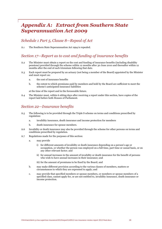# *Appendix A: Extract from Southern State Superannuation Act 2009*

### *Schedule 1 Part 5, Clause 8—Repeal of Act*

A.1 The Southern State Superannuation Act 1994 is repealed.

### *Section 17—Report as to cost and funding of insurance benefits*

- A.2 The Minister must obtain a report on the cost and funding of insurance benefits (including disability pensions) provided through the scheme within 12 months after 30 June 2010 and thereafter within 12 months after the end of each triennium following that date.
- A.3 Each report must be prepared by an actuary (not being a member of the Board) appointed by the Minister and must report on:
	- a. the cost of insurance benefits
	- b. the extent to which premiums paid by members and held by the Board are sufficient to meet the scheme's anticipated insurance liabilities

at the time of the report and in the foreseeable future.

A.4 The Minister must, within 6 sitting days after receiving a report under this section, have copies of the report laid before both Houses of Parliament.

### *Section 22—Insurance benefits*

- A.5 The following is to be provided through the Triple S scheme on terms and conditions prescribed by regulation:
	- a. invalidity insurance, death insurance and income protection for members
	- b. death insurance for spouse members.
- A.6 Invalidity or death insurance may also be provided through the scheme for other persons on terms and conditions prescribed by regulation.
- A.7 Regulations made for the purposes of this section:
	- a. may provide
		- i) for different amounts of invalidity or death insurance depending on a person's age or occupation, or whether the person was employed on a full time, part time or casual basis, or on any other relevant factor; and
		- ii) for annual increases in the amount of invalidity or death insurance for the benefit of persons who wish to have annual increases in their insurance; and
		- iii) for the amount of premiums to be fixed by the Board; and
	- b. may make different provision according to the various classes of members, matters or circumstances to which they are expressed to apply; and
	- c. may provide that specified members or spouse members, or members or spouse members of a specified class, cannot apply for, or are not entitled to, invalidity insurance, death insurance or income protection.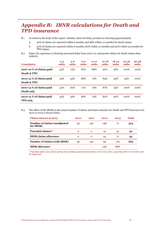# *Appendix B: IBNR calculations for Death and TPD insurance*

B.1 As noted in the body of the report, industry observed delay periods are showing approximately:

- a. 90% of claims are reported within 6 months and 98% within 12 months for death claims
- b. 50% of claims are reported within 6 months, 80% within 12 months and 90% within 24 months for TPD claims.
- B.2 Super SA experience is showing increased delay from 2007-10, and greater delays for death claims than industry.

| <b>Cumulative</b>                             | $O-3$<br>mths | $3 - 6$<br>mths | $6-9$<br>mths | $9 - 12$<br>mths | $12 - 18$<br>mths | $18 - 24$<br>mths | $24 - 36$<br>mths | $36 - 48$<br>mths |
|-----------------------------------------------|---------------|-----------------|---------------|------------------|-------------------|-------------------|-------------------|-------------------|
| 2007-10 % of claims paid<br>Death & TPD       | 55%           | 73%             | 81%           | 88%              | 92%               | 96%               | 100%              | 100%              |
| 2010-13 % of claims paid<br>Death & TPD       | 39%           | 59%             | 68%           | 76%              | 84%               | 93%               | 93%               | 100%              |
| 2010-13 % of claims paid<br><b>Death only</b> | 32%           | 62%             | 71%           | 79%              | 87%               | 95%               | 100%              | 100%              |
| 2010-13 % of claims paid<br><b>TPD</b> only   | 45%           | 56%             | 66%           | 73%              | 82%               | 90%               | 100%              | 100%              |

B.3 The effect of the IBNR on the actual number of claims and claim amounts for Death and TPD Insurance for 2010 to 2013 is shown below.

| <b>Claims known at 2013</b>               | 2010     | 2011         | 2012 | 2013 | Total |
|-------------------------------------------|----------|--------------|------|------|-------|
| Number of claims (unadjusted<br>for IBNR) | 157      | 142          | 148  | 77   | 524   |
| Potential claims <sup>(1)</sup>           | $\Omega$ | $\mathbf{o}$ | 19   | 31   | 50    |
| <b>IBNR</b> claims allowance              | $\Omega$ | 0            | 24   | 71   | 95    |
| <b>Number of claims (with IBNR)</b>       | 157      | 142          | 191  | 179  | 669   |
| <b>IBNR</b> allowance                     |          |              | 14%  | 66%  |       |

<sup>1</sup> Potential claims are claims arising from pending and declined claims at 30 June 2013, assuming 85% of all claims will be approved.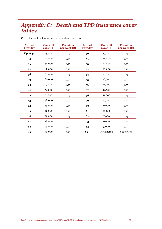# *Appendix C: Death and TPD insurance cover tables*

| <b>Age last</b><br>birthday | <b>One unit</b><br>$cover (*)$ | Premium<br>per week (\$) | <b>Age last</b><br>birthday | One unit<br>$cover (*)$ | Premium<br>per week (\$) |
|-----------------------------|--------------------------------|--------------------------|-----------------------------|-------------------------|--------------------------|
| Up to $34$                  | 75,000                         | 0.75                     | 50                          | 27,000                  | 0.75                     |
| 35                          | 72,000                         | 0.75                     | 51                          | 24,000                  | 0.75                     |
| 36                          | 69,000                         | 0.75                     | 5 <sup>2</sup>              | 22,000                  | 0.75                     |
| 37                          | 66,000                         | 0.75                     | 53                          | 20,000                  | 0.75                     |
| 38                          | 63,000                         | 0.75                     | 54                          | 18,000                  | 0.75                     |
| 39                          | 60,000                         | 0.75                     | 55                          | 16,000                  | 0.75                     |
| 40                          | 57,000                         | 0.75                     | 56                          | 14,000                  | 0.75                     |
| 41                          | 54,000                         | 0.75                     | 57                          | 12,500                  | 0.75                     |
| 42                          | 51,000                         | 0.75                     | 58                          | 11,000                  | 0.75                     |
| 43                          | 48,000                         | 0.75                     | 59                          | 10,000                  | 0.75                     |
| 44                          | 45,000                         | 0.75                     | 60                          | 9,000                   | 0.75                     |
| 45                          | 42,000                         | 0.75                     | 61                          | 8,000                   | 0.75                     |
| 46                          | 39,000                         | 0.75                     | 62                          | 7,000                   | 0.75                     |
| 47                          | 36,000                         | 0.75                     | 63                          | 6,000                   | 0.75                     |
| 48                          | 33,000                         | 0.75                     | 64                          | 5,000                   | 0.75                     |
| 49                          | 30,000                         | 0.75                     | $65+$                       | Not offered             | Not offered              |

C.1 The table below shows the current standard cover.

 $\overline{\phantom{a}}$